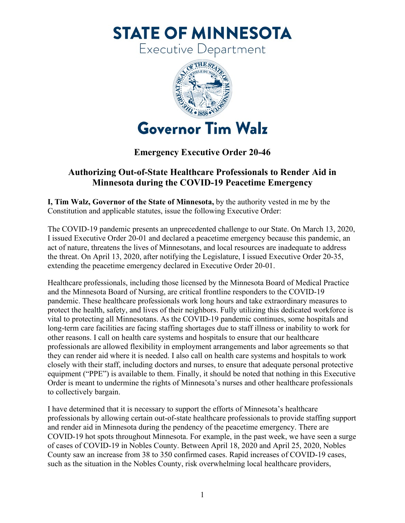**STATE OF MINNESOTA** 

Executive Department



## **Emergency Executive Order 20-46**

## **Authorizing Out-of-State Healthcare Professionals to Render Aid in Minnesota during the COVID-19 Peacetime Emergency**

Constitution and applicable statutes, issue the following Executive Order: **I, Tim Walz, Governor of the State of Minnesota,** by the authority vested in me by the

The COVID-19 pandemic presents an unprecedented challenge to our State. On March 13, 2020, I issued Executive Order 20-01 and declared a peacetime emergency because this pandemic, an act of nature, threatens the lives of Minnesotans, and local resources are inadequate to address the threat. On April 13, 2020, after notifying the Legislature, I issued Executive Order 20-35, extending the peacetime emergency declared in Executive Order 20-01.

 Healthcare professionals, including those licensed by the Minnesota Board of Medical Practice and the Minnesota Board of Nursing, are critical frontline responders to the COVID-19 professionals are allowed flexibility in employment arrangements and labor agreements so that they can render aid where it is needed. I also call on health care systems and hospitals to work pandemic. These healthcare professionals work long hours and take extraordinary measures to protect the health, safety, and lives of their neighbors. Fully utilizing this dedicated workforce is vital to protecting all Minnesotans. As the COVID-19 pandemic continues, some hospitals and long-term care facilities are facing staffing shortages due to staff illness or inability to work for other reasons. I call on health care systems and hospitals to ensure that our healthcare closely with their staff, including doctors and nurses, to ensure that adequate personal protective equipment ("PPE") is available to them. Finally, it should be noted that nothing in this Executive Order is meant to undermine the rights of Minnesota's nurses and other healthcare professionals to collectively bargain.

 COVID-19 hot spots throughout Minnesota. For example, in the past week, we have seen a surge I have determined that it is necessary to support the efforts of Minnesota's healthcare professionals by allowing certain out-of-state healthcare professionals to provide staffing support and render aid in Minnesota during the pendency of the peacetime emergency. There are of cases of COVID-19 in Nobles County. Between April 18, 2020 and April 25, 2020, Nobles County saw an increase from 38 to 350 confirmed cases. Rapid increases of COVID-19 cases, such as the situation in the Nobles County, risk overwhelming local healthcare providers,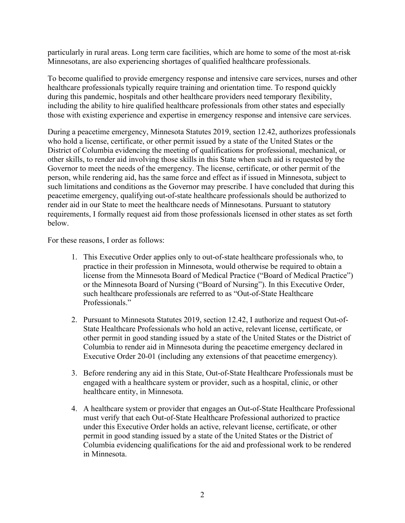particularly in rural areas. Long term care facilities, which are home to some of the most at-risk Minnesotans, are also experiencing shortages of qualified healthcare professionals.

 those with existing experience and expertise in emergency response and intensive care services. To become qualified to provide emergency response and intensive care services, nurses and other healthcare professionals typically require training and orientation time. To respond quickly during this pandemic, hospitals and other healthcare providers need temporary flexibility, including the ability to hire qualified healthcare professionals from other states and especially

 During a peacetime emergency, Minnesota Statutes 2019, section 12.42, authorizes professionals who hold a license, certificate, or other permit issued by a state of the United States or the other skills, to render aid involving those skills in this State when such aid is requested by the District of Columbia evidencing the meeting of qualifications for professional, mechanical, or Governor to meet the needs of the emergency. The license, certificate, or other permit of the person, while rendering aid, has the same force and effect as if issued in Minnesota, subject to such limitations and conditions as the Governor may prescribe. I have concluded that during this peacetime emergency, qualifying out-of-state healthcare professionals should be authorized to render aid in our State to meet the healthcare needs of Minnesotans. Pursuant to statutory requirements, I formally request aid from those professionals licensed in other states as set forth below.

For these reasons, I order as follows:

- 1. This Executive Order applies only to out-of-state healthcare professionals who, to practice in their profession in Minnesota, would otherwise be required to obtain a license from the Minnesota Board of Medical Practice ("Board of Medical Practice") or the Minnesota Board of Nursing ("Board of Nursing"). In this Executive Order, such healthcare professionals are referred to as "Out-of-State Healthcare Professionals."
- State Healthcare Professionals who hold an active, relevant license, certificate, or 2. Pursuant to Minnesota Statutes 2019, section 12.42, I authorize and request Out-ofother permit in good standing issued by a state of the United States or the District of Columbia to render aid in Minnesota during the peacetime emergency declared in Executive Order 20-01 (including any extensions of that peacetime emergency).
- 3. Before rendering any aid in this State, Out-of-State Healthcare Professionals must be engaged with a healthcare system or provider, such as a hospital, clinic, or other healthcare entity, in Minnesota.
- 4. A healthcare system or provider that engages an Out-of-State Healthcare Professional under this Executive Order holds an active, relevant license, certificate, or other permit in good standing issued by a state of the United States or the District of must verify that each Out-of-State Healthcare Professional authorized to practice Columbia evidencing qualifications for the aid and professional work to be rendered in Minnesota.